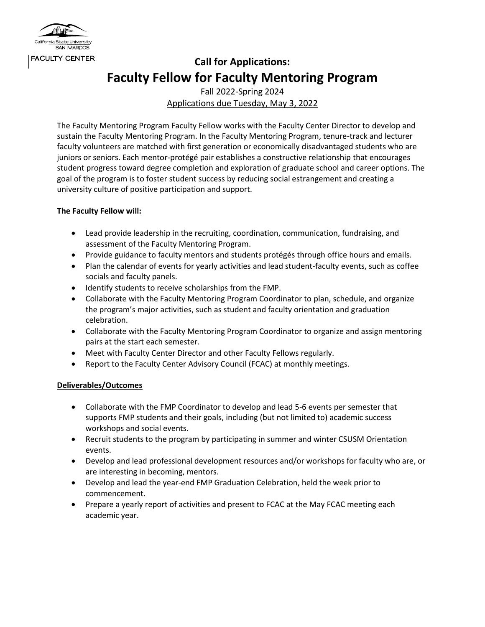

## **Call for Applications: Faculty Fellow for Faculty Mentoring Program**

Fall 2022-Spring 2024 Applications due Tuesday, May 3, 2022

The Faculty Mentoring Program Faculty Fellow works with the Faculty Center Director to develop and sustain the Faculty Mentoring Program. In the Faculty Mentoring Program, tenure-track and lecturer faculty volunteers are matched with first generation or economically disadvantaged students who are juniors or seniors. Each mentor-protégé pair establishes a constructive relationship that encourages student progress toward degree completion and exploration of graduate school and career options. The goal of the program is to foster student success by reducing social estrangement and creating a university culture of positive participation and support.

## **The Faculty Fellow will:**

- Lead provide leadership in the recruiting, coordination, communication, fundraising, and assessment of the Faculty Mentoring Program.
- Provide guidance to faculty mentors and students protégés through office hours and emails.
- Plan the calendar of events for yearly activities and lead student-faculty events, such as coffee socials and faculty panels.
- Identify students to receive scholarships from the FMP.
- Collaborate with the Faculty Mentoring Program Coordinator to plan, schedule, and organize the program's major activities, such as student and faculty orientation and graduation celebration.
- Collaborate with the Faculty Mentoring Program Coordinator to organize and assign mentoring pairs at the start each semester.
- Meet with Faculty Center Director and other Faculty Fellows regularly.
- Report to the Faculty Center Advisory Council (FCAC) at monthly meetings.

## **Deliverables/Outcomes**

- Collaborate with the FMP Coordinator to develop and lead 5-6 events per semester that supports FMP students and their goals, including (but not limited to) academic success workshops and social events.
- Recruit students to the program by participating in summer and winter CSUSM Orientation events.
- Develop and lead professional development resources and/or workshops for faculty who are, or are interesting in becoming, mentors.
- Develop and lead the year-end FMP Graduation Celebration, held the week prior to commencement.
- Prepare a yearly report of activities and present to FCAC at the May FCAC meeting each academic year.